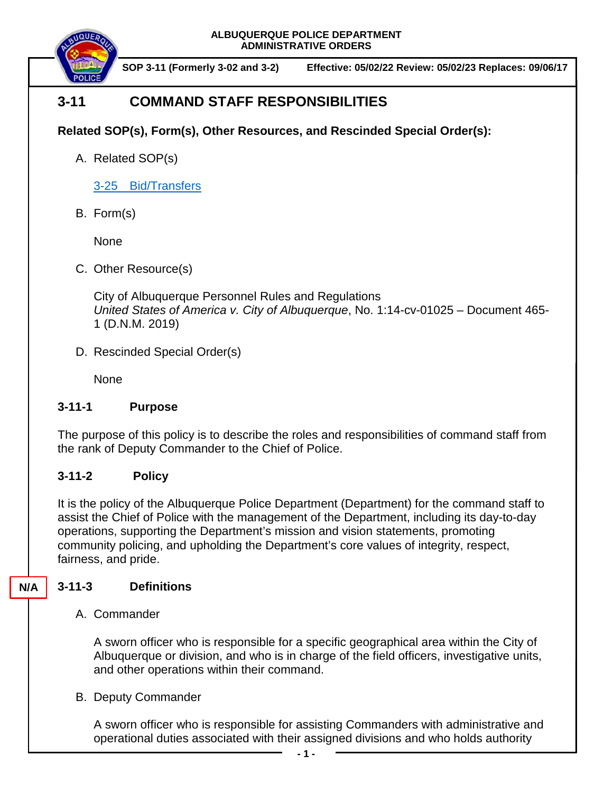**ALBUQUERQUE POLICE DEPARTMENT ADMINISTRATIVE ORDERS**



**SOP 3-11 (Formerly 3-02 and 3-2) Effective: 05/02/22 Review: 05/02/23 Replaces: 09/06/17**

# **3-11 COMMAND STAFF RESPONSIBILITIES**

**Related SOP(s), Form(s), Other Resources, and Rescinded Special Order(s):**

A. Related SOP(s)

3-25 [Bid/Transfers](https://powerdms.com/docs/450?q=3-25)

B. Form(s)

None

C. Other Resource(s)

City of Albuquerque Personnel Rules and Regulations *United States of America v. City of Albuquerque*, No. 1:14-cv-01025 – Document 465- 1 (D.N.M. 2019)

D. Rescinded Special Order(s)

None

# **3-11-1 Purpose**

The purpose of this policy is to describe the roles and responsibilities of command staff from the rank of Deputy Commander to the Chief of Police.

# **3-11-2 Policy**

It is the policy of the Albuquerque Police Department (Department) for the command staff to assist the Chief of Police with the management of the Department, including its day-to-day operations, supporting the Department's mission and vision statements, promoting community policing, and upholding the Department's core values of integrity, respect, fairness, and pride.

#### **3-11-3 Definitions N/A**

### A. Commander

A sworn officer who is responsible for a specific geographical area within the City of Albuquerque or division, and who is in charge of the field officers, investigative units, and other operations within their command.

B. Deputy Commander

A sworn officer who is responsible for assisting Commanders with administrative and operational duties associated with their assigned divisions and who holds authority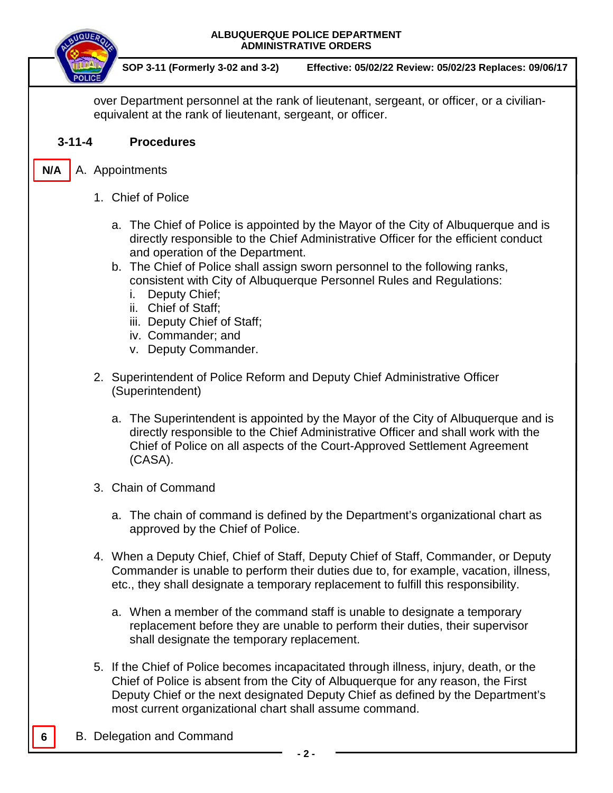

**SOP 3-11 (Formerly 3-02 and 3-2) Effective: 05/02/22 Review: 05/02/23 Replaces: 09/06/17**

over Department personnel at the rank of lieutenant, sergeant, or officer, or a civilianequivalent at the rank of lieutenant, sergeant, or officer.

### **3-11-4 Procedures**

A. Appointments **N/A**

- 1. Chief of Police
	- a. The Chief of Police is appointed by the Mayor of the City of Albuquerque and is directly responsible to the Chief Administrative Officer for the efficient conduct and operation of the Department.
	- b. The Chief of Police shall assign sworn personnel to the following ranks, consistent with City of Albuquerque Personnel Rules and Regulations:
		- i. Deputy Chief;
		- ii. Chief of Staff;
		- iii. Deputy Chief of Staff;
		- iv. Commander; and
		- v. Deputy Commander.
- 2. Superintendent of Police Reform and Deputy Chief Administrative Officer (Superintendent)
	- a. The Superintendent is appointed by the Mayor of the City of Albuquerque and is directly responsible to the Chief Administrative Officer and shall work with the Chief of Police on all aspects of the Court-Approved Settlement Agreement (CASA).
- 3. Chain of Command
	- a. The chain of command is defined by the Department's organizational chart as approved by the Chief of Police.
- 4. When a Deputy Chief, Chief of Staff, Deputy Chief of Staff, Commander, or Deputy Commander is unable to perform their duties due to, for example, vacation, illness, etc., they shall designate a temporary replacement to fulfill this responsibility.
	- a. When a member of the command staff is unable to designate a temporary replacement before they are unable to perform their duties, their supervisor shall designate the temporary replacement.
- 5. If the Chief of Police becomes incapacitated through illness, injury, death, or the Chief of Police is absent from the City of Albuquerque for any reason, the First Deputy Chief or the next designated Deputy Chief as defined by the Department's most current organizational chart shall assume command.
- B. Delegation and Command

**6**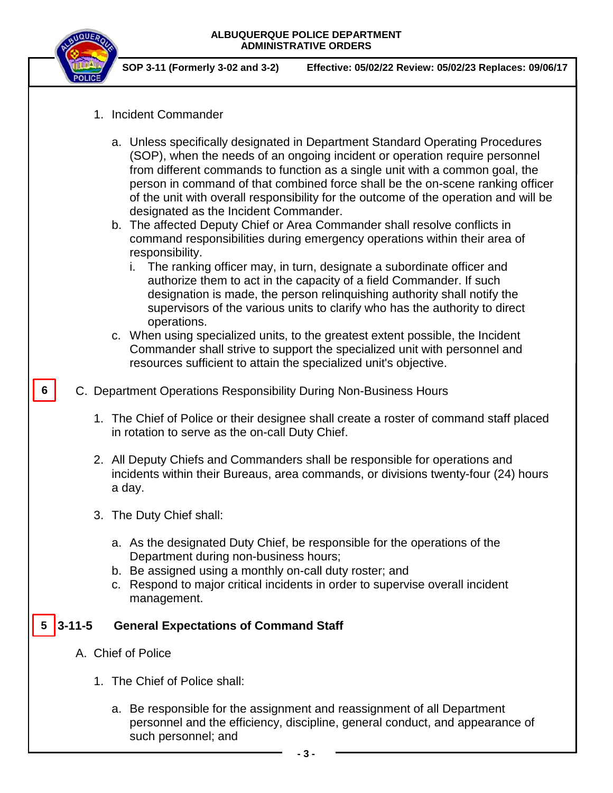

**SOP 3-11 (Formerly 3-02 and 3-2) Effective: 05/02/22 Review: 05/02/23 Replaces: 09/06/17**

- 1. Incident Commander
	- a. Unless specifically designated in Department Standard Operating Procedures (SOP), when the needs of an ongoing incident or operation require personnel from different commands to function as a single unit with a common goal, the person in command of that combined force shall be the on-scene ranking officer of the unit with overall responsibility for the outcome of the operation and will be designated as the Incident Commander.
	- b. The affected Deputy Chief or Area Commander shall resolve conflicts in command responsibilities during emergency operations within their area of responsibility.
		- i. The ranking officer may, in turn, designate a subordinate officer and authorize them to act in the capacity of a field Commander. If such designation is made, the person relinquishing authority shall notify the supervisors of the various units to clarify who has the authority to direct operations.
	- c. When using specialized units, to the greatest extent possible, the Incident Commander shall strive to support the specialized unit with personnel and resources sufficient to attain the specialized unit's objective.
- C. Department Operations Responsibility During Non-Business Hours **6**
	- 1. The Chief of Police or their designee shall create a roster of command staff placed in rotation to serve as the on-call Duty Chief.
	- 2. All Deputy Chiefs and Commanders shall be responsible for operations and incidents within their Bureaus, area commands, or divisions twenty-four (24) hours a day.
	- 3. The Duty Chief shall:
		- a. As the designated Duty Chief, be responsible for the operations of the Department during non-business hours;
		- b. Be assigned using a monthly on-call duty roster; and
		- c. Respond to major critical incidents in order to supervise overall incident management.

#### **General Expectations of Command Staff**  $5 \mid 3 - 11 - 5$

- A. Chief of Police
	- 1. The Chief of Police shall:
		- a. Be responsible for the assignment and reassignment of all Department personnel and the efficiency, discipline, general conduct, and appearance of such personnel; and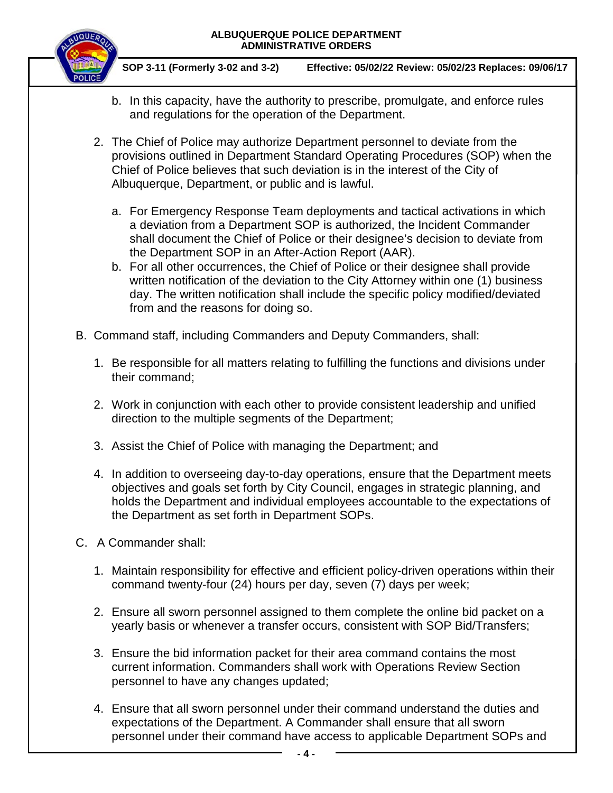#### **ALBUQUERQUE POLICE DEPARTMENT ADMINISTRATIVE ORDERS**



**SOP 3-11 (Formerly 3-02 and 3-2) Effective: 05/02/22 Review: 05/02/23 Replaces: 09/06/17**

- b. In this capacity, have the authority to prescribe, promulgate, and enforce rules and regulations for the operation of the Department.
- 2. The Chief of Police may authorize Department personnel to deviate from the provisions outlined in Department Standard Operating Procedures (SOP) when the Chief of Police believes that such deviation is in the interest of the City of Albuquerque, Department, or public and is lawful.
	- a. For Emergency Response Team deployments and tactical activations in which a deviation from a Department SOP is authorized, the Incident Commander shall document the Chief of Police or their designee's decision to deviate from the Department SOP in an After-Action Report (AAR).
	- b. For all other occurrences, the Chief of Police or their designee shall provide written notification of the deviation to the City Attorney within one (1) business day. The written notification shall include the specific policy modified/deviated from and the reasons for doing so.
- B. Command staff, including Commanders and Deputy Commanders, shall:
	- 1. Be responsible for all matters relating to fulfilling the functions and divisions under their command;
	- 2. Work in conjunction with each other to provide consistent leadership and unified direction to the multiple segments of the Department;
	- 3. Assist the Chief of Police with managing the Department; and
	- 4. In addition to overseeing day-to-day operations, ensure that the Department meets objectives and goals set forth by City Council, engages in strategic planning, and holds the Department and individual employees accountable to the expectations of the Department as set forth in Department SOPs.
- C. A Commander shall:
	- 1. Maintain responsibility for effective and efficient policy-driven operations within their command twenty-four (24) hours per day, seven (7) days per week;
	- 2. Ensure all sworn personnel assigned to them complete the online bid packet on a yearly basis or whenever a transfer occurs, consistent with SOP Bid/Transfers;
	- 3. Ensure the bid information packet for their area command contains the most current information. Commanders shall work with Operations Review Section personnel to have any changes updated;
	- 4. Ensure that all sworn personnel under their command understand the duties and expectations of the Department. A Commander shall ensure that all sworn personnel under their command have access to applicable Department SOPs and